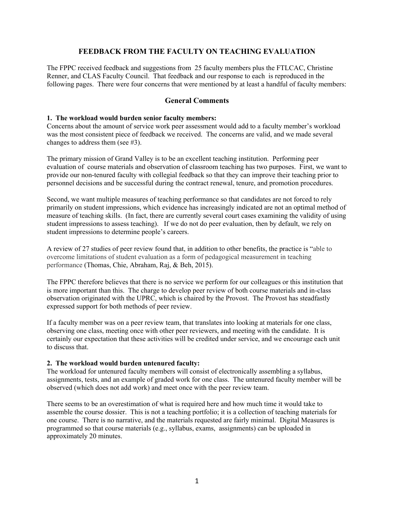# **FEEDBACK FROM THE FACULTY ON TEACHING EVALUATION**

The FPPC received feedback and suggestions from 25 faculty members plus the FTLCAC, Christine Renner, and CLAS Faculty Council. That feedback and our response to each is reproduced in the following pages. There were four concerns that were mentioned by at least a handful of faculty members:

# **General Comments**

#### **1. The workload would burden senior faculty members:**

Concerns about the amount of service work peer assessment would add to a faculty member's workload was the most consistent piece of feedback we received. The concerns are valid, and we made several changes to address them (see #3).

The primary mission of Grand Valley is to be an excellent teaching institution. Performing peer evaluation of course materials and observation of classroom teaching has two purposes. First, we want to provide our non-tenured faculty with collegial feedback so that they can improve their teaching prior to personnel decisions and be successful during the contract renewal, tenure, and promotion procedures.

Second, we want multiple measures of teaching performance so that candidates are not forced to rely primarily on student impressions, which evidence has increasingly indicated are not an optimal method of measure of teaching skills. (In fact, there are currently several court cases examining the validity of using student impressions to assess teaching). If we do not do peer evaluation, then by default, we rely on student impressions to determine people's careers.

A review of 27 studies of peer review found that, in addition to other benefits, the practice is "able to overcome limitations of student evaluation as a form of pedagogical measurement in teaching performance (Thomas, Chie, Abraham, Raj, & Beh, 2015).

The FPPC therefore believes that there is no service we perform for our colleagues or this institution that is more important than this. The charge to develop peer review of both course materials and in-class observation originated with the UPRC, which is chaired by the Provost. The Provost has steadfastly expressed support for both methods of peer review.

If a faculty member was on a peer review team, that translates into looking at materials for one class, observing one class, meeting once with other peer reviewers, and meeting with the candidate. It is certainly our expectation that these activities will be credited under service, and we encourage each unit to discuss that.

## **2. The workload would burden untenured faculty:**

The workload for untenured faculty members will consist of electronically assembling a syllabus, assignments, tests, and an example of graded work for one class. The untenured faculty member will be observed (which does not add work) and meet once with the peer review team.

There seems to be an overestimation of what is required here and how much time it would take to assemble the course dossier. This is not a teaching portfolio; it is a collection of teaching materials for one course. There is no narrative, and the materials requested are fairly minimal. Digital Measures is programmed so that course materials (e.g., syllabus, exams, assignments) can be uploaded in approximately 20 minutes.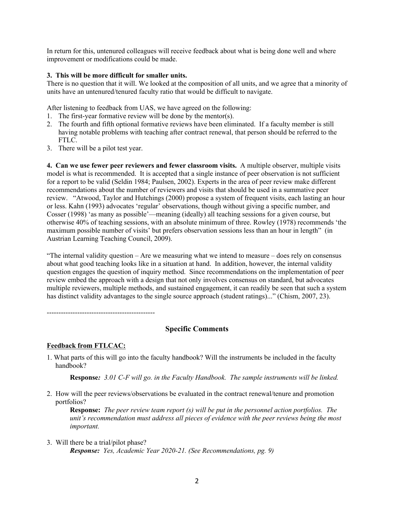In return for this, untenured colleagues will receive feedback about what is being done well and where improvement or modifications could be made.

#### **3. This will be more difficult for smaller units.**

There is no question that it will. We looked at the composition of all units, and we agree that a minority of units have an untenured/tenured faculty ratio that would be difficult to navigate.

After listening to feedback from UAS, we have agreed on the following:

- 1. The first-year formative review will be done by the mentor(s).
- 2. The fourth and fifth optional formative reviews have been eliminated. If a faculty member is still having notable problems with teaching after contract renewal, that person should be referred to the FTLC.
- 3. There will be a pilot test year.

**4. Can we use fewer peer reviewers and fewer classroom visits.** A multiple observer, multiple visits model is what is recommended. It is accepted that a single instance of peer observation is not sufficient for a report to be valid (Seldin 1984; Paulsen, 2002). Experts in the area of peer review make different recommendations about the number of reviewers and visits that should be used in a summative peer review. "Atwood, Taylor and Hutchings (2000) propose a system of frequent visits, each lasting an hour or less. Kahn (1993) advocates 'regular' observations, though without giving a specific number, and Cosser (1998) 'as many as possible'—meaning (ideally) all teaching sessions for a given course, but otherwise 40% of teaching sessions, with an absolute minimum of three. Rowley (1978) recommends 'the maximum possible number of visits' but prefers observation sessions less than an hour in length" (in Austrian Learning Teaching Council, 2009).

"The internal validity question – Are we measuring what we intend to measure – does rely on consensus about what good teaching looks like in a situation at hand. In addition, however, the internal validity question engages the question of inquiry method. Since recommendations on the implementation of peer review embed the approach with a design that not only involves consensus on standard, but advocates multiple reviewers, multiple methods, and sustained engagement, it can readily be seen that such a system has distinct validity advantages to the single source approach (student ratings)..." (Chism, 2007, 23).

----------------------------------------------

# **Specific Comments**

## **Feedback from FTLCAC:**

1. What parts of this will go into the faculty handbook? Will the instruments be included in the faculty handbook?

**Response***: 3.01 C-F will go. in the Faculty Handbook. The sample instruments will be linked.*

2. How will the peer reviews/observations be evaluated in the contract renewal/tenure and promotion portfolios?

**Response:** *The peer review team report (s) will be put in the personnel action portfolios. The unit's recommendation must address all pieces of evidence with the peer reviews being the most important.* 

3. Will there be a trial/pilot phase? *Response: Yes, Academic Year 2020-21. (See Recommendations, pg. 9)*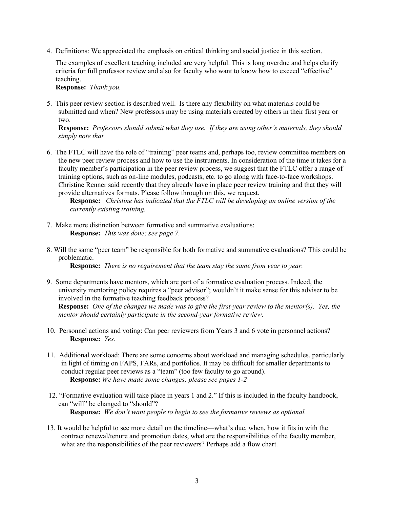4. Definitions: We appreciated the emphasis on critical thinking and social justice in this section.

The examples of excellent teaching included are very helpful. This is long overdue and helps clarify criteria for full professor review and also for faculty who want to know how to exceed "effective" teaching.

**Response:** *Thank you.*

5. This peer review section is described well. Is there any flexibility on what materials could be submitted and when? New professors may be using materials created by others in their first year or two.

**Response:** *Professors should submit what they use. If they are using other's materials, they should simply note that.* 

6. The FTLC will have the role of "training" peer teams and, perhaps too, review committee members on the new peer review process and how to use the instruments. In consideration of the time it takes for a faculty member's participation in the peer review process, we suggest that the FTLC offer a range of training options, such as on-line modules, podcasts, etc. to go along with face-to-face workshops. Christine Renner said recently that they already have in place peer review training and that they will provide alternatives formats. Please follow through on this, we request.

**Response:** *Christine has indicated that the FTLC will be developing an online version of the currently existing training.*

- 7. Make more distinction between formative and summative evaluations: **Response:** *This was done; see page 7.*
- 8. Will the same "peer team" be responsible for both formative and summative evaluations? This could be problematic.

**Response:** *There is no requirement that the team stay the same from year to year.* 

- 9. Some departments have mentors, which are part of a formative evaluation process. Indeed, the university mentoring policy requires a "peer advisor"; wouldn't it make sense for this adviser to be involved in the formative teaching feedback process? **Response:** *One of the changes we made was to give the first-year review to the mentor(s). Yes, the mentor should certainly participate in the second-year formative review.*
- 10. Personnel actions and voting: Can peer reviewers from Years 3 and 6 vote in personnel actions? **Response:** *Yes.*
- 11. Additional workload: There are some concerns about workload and managing schedules, particularly in light of timing on FAPS, FARs, and portfolios. It may be difficult for smaller departments to conduct regular peer reviews as a "team" (too few faculty to go around). **Response:** *We have made some changes; please see pages 1-2*
- 12. "Formative evaluation will take place in years 1 and 2." If this is included in the faculty handbook, can "will" be changed to "should"? **Response:** *We don't want people to begin to see the formative reviews as optional.*
- 13. It would be helpful to see more detail on the timeline—what's due, when, how it fits in with the contract renewal/tenure and promotion dates, what are the responsibilities of the faculty member, what are the responsibilities of the peer reviewers? Perhaps add a flow chart.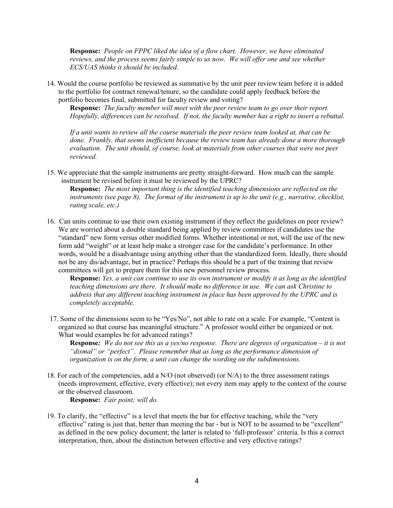**Response:** *People on FPPC liked the idea of a flow chart. However, we have eliminated reviews, and the process seems fairly simple to us now. We will offer one and see whether ECS/UAS thinks it should be included.*

14. Would the course portfolio be reviewed as summative by the unit peer review team before it is added to the portfolio for contract renewal/tenure, so the candidate could apply feedback before the portfolio becomes final, submitted for faculty review and voting?

**Response:** *The faculty member will meet with the peer review team to go over their report. Hopefully, differences can be resolved. If not, the faculty member has a right to insert a rebuttal.* 

*If a unit wants to review all the course materials the peer review team looked at, that can be done. Frankly, that seems inefficient because the review team has already done a more thorough evaluation. The unit should, of course, look at materials from other courses that were not peer reviewed.*

15. We appreciate that the sample instruments are pretty straight-forward. How much can the sample instrument be revised before it must be reviewed by the UPRC?

**Response:** *The most important thing is the identified teaching dimensions are reflected on the instruments (see page 8), The format of the instrument is up to the unit (e.g., narrative, checklist, rating scale, etc.)*

16. Can units continue to use their own existing instrument if they reflect the guidelines on peer review? We are worried about a double standard being applied by review committees if candidates use the "standard" new form versus other modified forms. Whether intentional or not, will the use of the new form add "weight" or at least help make a stronger case for the candidate's performance. In other words, would be a disadvantage using anything other than the standardized form. Ideally, there should not be any dis/advantage, but in practice? Perhaps this should be a part of the training that review committees will get to prepare them for this new personnel review process.

**Response:** *Yes, a unit can continue to use its own instrument or modify it as long as the identified teaching dimensions are there. It should make no difference in use. We can ask Christine to address that any different teaching instrument in place has been approved by the UPRC and is completely acceptable.* 

17. Some of the dimensions seem to be "Yes/No", not able to rate on a scale. For example, "Content is organized so that course has meaningful structure." A professor would either be organized or not. What would examples be for advanced ratings?

**Response***: We do not see this as a yes/no response. There are degrees of organization – it is not "dismal" or "perfect". Please remember that as long as the performance dimension of organization is on the form, a unit can change the wording on the subdimensions.*

18. For each of the competencies, add a  $N/O$  (not observed) (or  $N/A$ ) to the three assessment ratings (needs improvement, effective, every effective); not every item may apply to the context of the course or the observed classroom.

**Response:** *Fair point; will do.*

19. To clarify, the "effective" is a level that meets the bar for effective teaching, while the "very effective" rating is just that, better than meeting the bar - but is NOT to be assumed to be "excellent" as defined in the new policy document; the latter is related to 'full-professor' criteria. Is this a correct interpretation, then, about the distinction between effective and very effective ratings?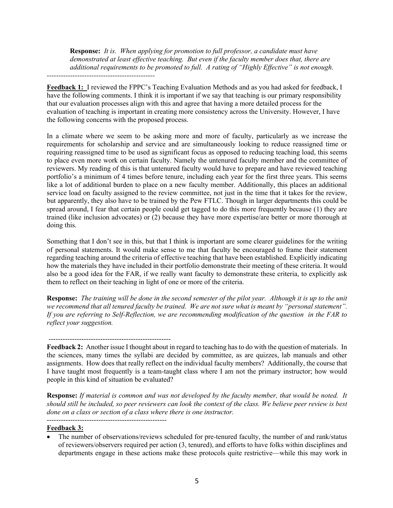**Response:** *It is. When applying for promotion to full professor, a candidate must have demonstrated at least effective teaching. But even if the faculty member does that, there are additional requirements to be promoted to full. A rating of "Highly Effective" is not enough.* 

*----------------------------------------------*

**Feedback 1:** I reviewed the FPPC's Teaching Evaluation Methods and as you had asked for feedback, I have the following comments. I think it is important if we say that teaching is our primary responsibility that our evaluation processes align with this and agree that having a more detailed process for the evaluation of teaching is important in creating more consistency across the University. However, I have the following concerns with the proposed process.

In a climate where we seem to be asking more and more of faculty, particularly as we increase the requirements for scholarship and service and are simultaneously looking to reduce reassigned time or requiring reassigned time to be used as significant focus as opposed to reducing teaching load, this seems to place even more work on certain faculty. Namely the untenured faculty member and the committee of reviewers. My reading of this is that untenured faculty would have to prepare and have reviewed teaching portfolio's a minimum of 4 times before tenure, including each year for the first three years. This seems like a lot of additional burden to place on a new faculty member. Additionally, this places an additional service load on faculty assigned to the review committee, not just in the time that it takes for the review, but apparently, they also have to be trained by the Pew FTLC. Though in larger departments this could be spread around, I fear that certain people could get tagged to do this more frequently because (1) they are trained (like inclusion advocates) or (2) because they have more expertise/are better or more thorough at doing this.

Something that I don't see in this, but that I think is important are some clearer guidelines for the writing of personal statements. It would make sense to me that faculty be encouraged to frame their statement regarding teaching around the criteria of effective teaching that have been established. Explicitly indicating how the materials they have included in their portfolio demonstrate their meeting of these criteria. It would also be a good idea for the FAR, if we really want faculty to demonstrate these criteria, to explicitly ask them to reflect on their teaching in light of one or more of the criteria.

**Response:** *The training will be done in the second semester of the pilot year. Although it is up to the unit we recommend that all tenured faculty be trained. We are not sure what is meant by "personal statement". If you are referring to Self-Reflection, we are recommending modification of the question in the FAR to reflect your suggestion.* 

----------------------------------------------------

**Feedback 2:** Another issue I thought about in regard to teaching has to do with the question of materials. In the sciences, many times the syllabi are decided by committee, as are quizzes, lab manuals and other assignments. How does that really reflect on the individual faculty members? Additionally, the course that I have taught most frequently is a team-taught class where I am not the primary instructor; how would people in this kind of situation be evaluated?

**Response:** *If material is common and was not developed by the faculty member, that would be noted. It should still be included, so peer reviewers can look the context of the class. We believe peer review is best done on a class or section of a class where there is one instructor.*

---------------------------------------------------

## **Feedback 3:**

• The number of observations/reviews scheduled for pre-tenured faculty, the number of and rank/status of reviewers/observers required per action (3, tenured), and efforts to have folks within disciplines and departments engage in these actions make these protocols quite restrictive—while this may work in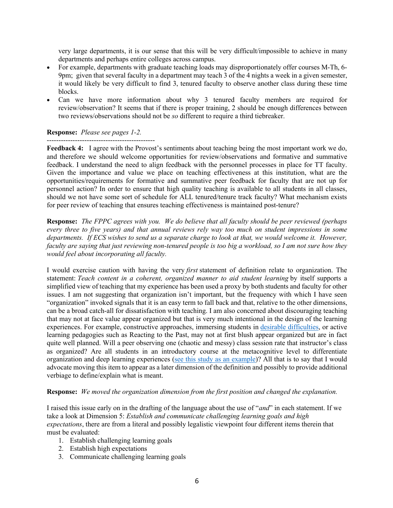very large departments, it is our sense that this will be very difficult/impossible to achieve in many departments and perhaps entire colleges across campus.

- For example, departments with graduate teaching loads may disproportionately offer courses M-Th, 6- 9pm; given that several faculty in a department may teach 3 of the 4 nights a week in a given semester, it would likely be very difficult to find 3, tenured faculty to observe another class during these time blocks.
- Can we have more information about why 3 tenured faculty members are required for review/observation? It seems that if there is proper training, 2 should be enough differences between two reviews/observations should not be *so* different to require a third tiebreaker.

## **Response:** *Please see pages 1-2.*

---------------------------------------------- Feedback 4: I agree with the Provost's sentiments about teaching being the most important work we do, and therefore we should welcome opportunities for review/observations and formative and summative feedback. I understand the need to align feedback with the personnel processes in place for TT faculty. Given the importance and value we place on teaching effectiveness at this institution, what are the opportunities/requirements for formative and summative peer feedback for faculty that are not up for personnel action? In order to ensure that high quality teaching is available to all students in all classes, should we not have some sort of schedule for ALL tenured/tenure track faculty? What mechanism exists for peer review of teaching that ensures teaching effectiveness is maintained post-tenure?

**Response:** *The FPPC agrees with you. We do believe that all faculty should be peer reviewed (perhaps every three to five years) and that annual reviews rely way too much on student impressions in some departments. If ECS wishes to send us a separate charge to look at that, we would welcome it. However, faculty are saying that just reviewing non-tenured people is too big a workload, so I am not sure how they would feel about incorporating all faculty.*

I would exercise caution with having the very *first* statement of definition relate to organization. The statement: *Teach content in a coherent, organized manner to aid student learning* by itself supports a simplified view of teaching that my experience has been used a proxy by both students and faculty for other issues. I am not suggesting that organization isn't important, but the frequency with which I have seen "organization" invoked signals that it is an easy term to fall back and that, relative to the other dimensions, can be a broad catch-all for dissatisfaction with teaching. I am also concerned about discouraging teaching that may not at face value appear organized but that is very much intentional in the design of the learning experiences. For example, constructive approaches, immersing students in desirable difficulties, or active learning pedagogies such as Reacting to the Past, may not at first blush appear organized but are in fact quite well planned. Will a peer observing one (chaotic and messy) class session rate that instructor's class as organized? Are all students in an introductory course at the metacognitive level to differentiate organization and deep learning experiences (see this study as an example)? All that is to say that I would advocate moving this item to appear as a later dimension of the definition and possibly to provide additional verbiage to define/explain what is meant.

#### **Response:** *We moved the organization dimension from the first position and changed the explanation.*

I raised this issue early on in the drafting of the language about the use of "*and*" in each statement. If we take a look at Dimension 5: *Establish and communicate challenging learning goals and high expectations*, there are from a literal and possibly legalistic viewpoint four different items therein that must be evaluated:

- 1. Establish challenging learning goals
- 2. Establish high expectations
- 3. Communicate challenging learning goals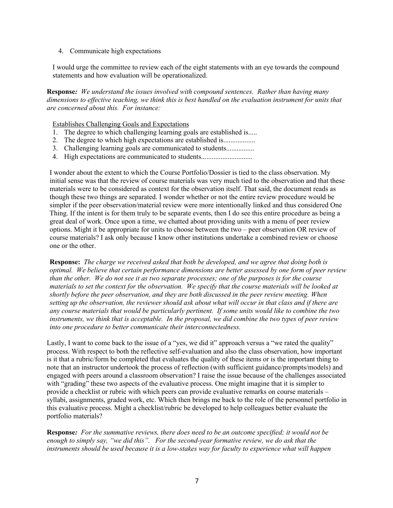## 4. Communicate high expectations

I would urge the committee to review each of the eight statements with an eye towards the compound statements and how evaluation will be operationalized.

**Response***: We understand the issues involved with compound sentences. Rather than having many dimensions to effective teaching, we think this is best handled on the evaluation instrument for units that are concerned about this. For instance:* 

Establishes Challenging Goals and Expectations

- 1. The degree to which challenging learning goals are established is.....
- 2. The degree to which high expectations are established is......................
- 3. Challenging learning goals are communicated to students.................
- 4. High expectations are communicated to students...............................

I wonder about the extent to which the Course Portfolio/Dossier is tied to the class observation. My initial sense was that the review of course materials was very much tied to the observation and that these materials were to be considered as context for the observation itself. That said, the document reads as though these two things are separated. I wonder whether or not the entire review procedure would be simpler if the peer observation/material review were more intentionally linked and thus considered One Thing. If the intent is for them truly to be separate events, then I do see this entire procedure as being a great deal of work. Once upon a time, we chatted about providing units with a menu of peer review options. Might it be appropriate for units to choose between the two – peer observation OR review of course materials? I ask only because I know other institutions undertake a combined review or choose one or the other.

**Response:** *The charge we received asked that both be developed, and we agree that doing both is optimal. We believe that certain performance dimensions are better assessed by one form of peer review than the other. We do not see it as two separate processes; one of the purposes is for the course materials to set the context for the observation. We specify that the course materials will be looked at shortly before the peer observation, and they are both discussed in the peer review meeting. When setting up the observation, the reviewer should ask about what will occur in that class and if there are any course materials that would be particularly pertinent. If some units would like to combine the two instruments, we think that is acceptable. In the proposal, we did combine the two types of peer review into one procedure to better communicate their interconnectedness.* 

Lastly, I want to come back to the issue of a "yes, we did it" approach versus a "we rated the quality" process. With respect to both the reflective self-evaluation and also the class observation, how important is it that a rubric/form be completed that evaluates the quality of these items or is the important thing to note that an instructor undertook the process of reflection (with sufficient guidance/prompts/models) and engaged with peers around a classroom observation? I raise the issue because of the challenges associated with "grading" these two aspects of the evaluative process. One might imagine that it is simpler to provide a checklist or rubric with which peers can provide evaluative remarks on course materials – syllabi, assignments, graded work, etc. Which then brings me back to the role of the personnel portfolio in this evaluative process. Might a checklist/rubric be developed to help colleagues better evaluate the portfolio materials?

**Response***: For the summative reviews, there does need to be an outcome specified; it would not be enough to simply say, "we did this". For the second-year formative review, we do ask that the instruments should be used because it is a low-stakes way for faculty to experience what will happen*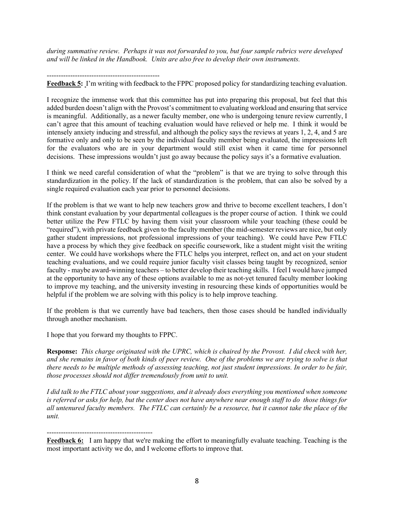*during summative review. Perhaps it was not forwarded to you, but four sample rubrics were developed and will be linked in the Handbook. Units are also free to develop their own instruments.* 

#### ------------------------------------------------

**Feedback 5:** I'm writing with feedback to the FPPC proposed policy for standardizing teaching evaluation.

I recognize the immense work that this committee has put into preparing this proposal, but feel that this added burden doesn't align with the Provost's commitment to evaluating workload and ensuring that service is meaningful. Additionally, as a newer faculty member, one who is undergoing tenure review currently, I can't agree that this amount of teaching evaluation would have relieved or help me. I think it would be intensely anxiety inducing and stressful, and although the policy says the reviews at years 1, 2, 4, and 5 are formative only and only to be seen by the individual faculty member being evaluated, the impressions left for the evaluators who are in your department would still exist when it came time for personnel decisions. These impressions wouldn't just go away because the policy says it's a formative evaluation.

I think we need careful consideration of what the "problem" is that we are trying to solve through this standardization in the policy. If the lack of standardization is the problem, that can also be solved by a single required evaluation each year prior to personnel decisions.

If the problem is that we want to help new teachers grow and thrive to become excellent teachers, I don't think constant evaluation by your departmental colleagues is the proper course of action. I think we could better utilize the Pew FTLC by having them visit your classroom while your teaching (these could be "required"), with private feedback given to the faculty member (the mid-semester reviews are nice, but only gather student impressions, not professional impressions of your teaching). We could have Pew FTLC have a process by which they give feedback on specific coursework, like a student might visit the writing center. We could have workshops where the FTLC helps you interpret, reflect on, and act on your student teaching evaluations, and we could require junior faculty visit classes being taught by recognized, senior faculty - maybe award-winning teachers – to better develop their teaching skills. I feel I would have jumped at the opportunity to have any of these options available to me as not-yet tenured faculty member looking to improve my teaching, and the university investing in resourcing these kinds of opportunities would be helpful if the problem we are solving with this policy is to help improve teaching.

If the problem is that we currently have bad teachers, then those cases should be handled individually through another mechanism.

I hope that you forward my thoughts to FPPC.

**Response:** *This charge originated with the UPRC, which is chaired by the Provost. I did check with her, and she remains in favor of both kinds of peer review. One of the problems we are trying to solve is that there needs to be multiple methods of assessing teaching, not just student impressions. In order to be fair, those processes should not differ tremendously from unit to unit.*

*I did talk to the FTLC about your suggestions, and it already does everything you mentioned when someone is referred or asks for help, but the center does not have anywhere near enough staff to do those things for all untenured faculty members. The FTLC can certainly be a resource, but it cannot take the place of the unit.* 

# ---------------------------------------------

**Feedback 6:** I am happy that we're making the effort to meaningfully evaluate teaching. Teaching is the most important activity we do, and I welcome efforts to improve that.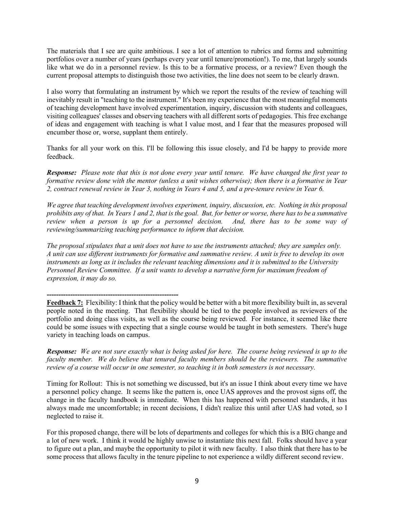The materials that I see are quite ambitious. I see a lot of attention to rubrics and forms and submitting portfolios over a number of years (perhaps every year until tenure/promotion!). To me, that largely sounds like what we do in a personnel review. Is this to be a formative process, or a review? Even though the current proposal attempts to distinguish those two activities, the line does not seem to be clearly drawn.

I also worry that formulating an instrument by which we report the results of the review of teaching will inevitably result in "teaching to the instrument." It's been my experience that the most meaningful moments of teaching development have involved experimentation, inquiry, discussion with students and colleagues, visiting colleagues' classes and observing teachers with all different sorts of pedagogies. This free exchange of ideas and engagement with teaching is what I value most, and I fear that the measures proposed will encumber those or, worse, supplant them entirely.

Thanks for all your work on this. I'll be following this issue closely, and I'd be happy to provide more feedback.

*Response: Please note that this is not done every year until tenure. We have changed the first year to formative review done with the mentor (unless a unit wishes otherwise); then there is a formative in Year 2, contract renewal review in Year 3, nothing in Years 4 and 5, and a pre-tenure review in Year 6.*

*We agree that teaching development involves experiment, inquiry, discussion, etc. Nothing in this proposal prohibits any of that. In Years 1 and 2, that is the goal. But, for better or worse, there has to be a summative review when a person is up for a personnel decision. And, there has to be some way of reviewing/summarizing teaching performance to inform that decision.* 

*The proposal stipulates that a unit does not have to use the instruments attached; they are samples only. A unit can use different instruments for formative and summative review. A unit is free to develop its own instruments as long as it includes the relevant teaching dimensions and it is submitted to the University Personnel Review Committee. If a unit wants to develop a narrative form for maximum freedom of expression, it may do so.*

**--------------------------------------------------------**

**Feedback 7:** Flexibility: I think that the policy would be better with a bit more flexibility built in, as several people noted in the meeting. That flexibility should be tied to the people involved as reviewers of the portfolio and doing class visits, as well as the course being reviewed. For instance, it seemed like there could be some issues with expecting that a single course would be taught in both semesters. There's huge variety in teaching loads on campus.

*Response: We are not sure exactly what is being asked for here. The course being reviewed is up to the faculty member. We do believe that tenured faculty members should be the reviewers. The summative review of a course will occur in one semester, so teaching it in both semesters is not necessary.* 

Timing for Rollout: This is not something we discussed, but it's an issue I think about every time we have a personnel policy change. It seems like the pattern is, once UAS approves and the provost signs off, the change in the faculty handbook is immediate. When this has happened with personnel standards, it has always made me uncomfortable; in recent decisions, I didn't realize this until after UAS had voted, so I neglected to raise it.

For this proposed change, there will be lots of departments and colleges for which this is a BIG change and a lot of new work. I think it would be highly unwise to instantiate this next fall. Folks should have a year to figure out a plan, and maybe the opportunity to pilot it with new faculty. I also think that there has to be some process that allows faculty in the tenure pipeline to not experience a wildly different second review.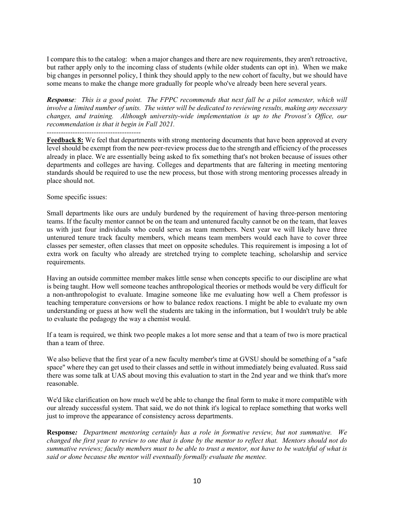I compare this to the catalog: when a major changes and there are new requirements, they aren't retroactive, but rather apply only to the incoming class of students (while older students can opt in). When we make big changes in personnel policy, I think they should apply to the new cohort of faculty, but we should have some means to make the change more gradually for people who've already been here several years.

*Response: This is a good point. The FPPC recommends that next fall be a pilot semester, which will involve a limited number of units. The winter will be dedicated to reviewing results, making any necessary changes, and training. Although university-wide implementation is up to the Provost's Office, our recommendation is that it begin in Fall 2021.*

*----------------------------------------*

**Feedback 8:** We feel that departments with strong mentoring documents that have been approved at every level should be exempt from the new peer-review process due to the strength and efficiency of the processes already in place. We are essentially being asked to fix something that's not broken because of issues other departments and colleges are having. Colleges and departments that are faltering in meeting mentoring standards should be required to use the new process, but those with strong mentoring processes already in place should not.

Some specific issues:

Small departments like ours are unduly burdened by the requirement of having three-person mentoring teams. If the faculty mentor cannot be on the team and untenured faculty cannot be on the team, that leaves us with just four individuals who could serve as team members. Next year we will likely have three untenured tenure track faculty members, which means team members would each have to cover three classes per semester, often classes that meet on opposite schedules. This requirement is imposing a lot of extra work on faculty who already are stretched trying to complete teaching, scholarship and service requirements.

Having an outside committee member makes little sense when concepts specific to our discipline are what is being taught. How well someone teaches anthropological theories or methods would be very difficult for a non-anthropologist to evaluate. Imagine someone like me evaluating how well a Chem professor is teaching temperature conversions or how to balance redox reactions. I might be able to evaluate my own understanding or guess at how well the students are taking in the information, but I wouldn't truly be able to evaluate the pedagogy the way a chemist would.

If a team is required, we think two people makes a lot more sense and that a team of two is more practical than a team of three.

We also believe that the first year of a new faculty member's time at GVSU should be something of a "safe space" where they can get used to their classes and settle in without immediately being evaluated. Russ said there was some talk at UAS about moving this evaluation to start in the 2nd year and we think that's more reasonable.

We'd like clarification on how much we'd be able to change the final form to make it more compatible with our already successful system. That said, we do not think it's logical to replace something that works well just to improve the appearance of consistency across departments.

**Response***: Department mentoring certainly has a role in formative review, but not summative. We changed the first year to review to one that is done by the mentor to reflect that. Mentors should not do summative reviews; faculty members must to be able to trust a mentor, not have to be watchful of what is said or done because the mentor will eventually formally evaluate the mentee.*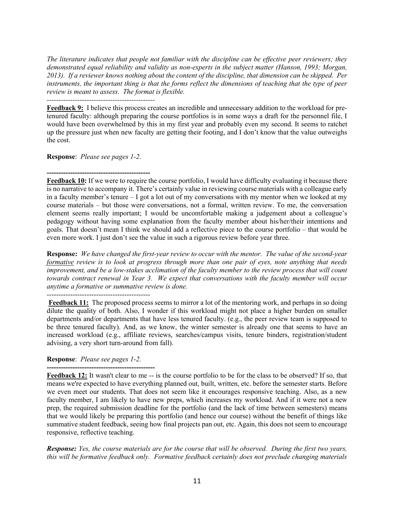*The literature indicates that people not familiar with the discipline can be effective peer reviewers; they demonstrated equal reliability and validity as non-experts in the subject matter (Hanson, 1993; Morgan, 2013). If a reviewer knows nothing about the content of the discipline, that dimension can be skipped. Per instruments, the important thing is that the forms reflect the dimensions of teaching that the type of peer review is meant to assess. The format is flexible.*

*----------------------------------------------*

**Feedback 9:** I believe this process creates an incredible and unnecessary addition to the workload for pretenured faculty: although preparing the course portfolios is in some ways a draft for the personnel file, I would have been overwhelmed by this in my first year and probably even my second. It seems to ratchet up the pressure just when new faculty are getting their footing, and I don't know that the value outweighs the cost.

**Response**: *Please see pages 1-2.* 

**-------------------------------------------- Feedback 10:** If we were to require the course portfolio, I would have difficulty evaluating it because there is no narrative to accompany it. There's certainly value in reviewing course materials with a colleague early in a faculty member's tenure – I got a lot out of my conversations with my mentor when we looked at my course materials – but those were conversations, not a formal, written review. To me, the conversation element seems really important; I would be uncomfortable making a judgement about a colleague's pedagogy without having some explanation from the faculty member about his/her/their intentions and goals. That doesn't mean I think we should add a reflective piece to the course portfolio – that would be even more work. I just don't see the value in such a rigorous review before year three.

**Response:** *We have changed the first-year review to occur with the mentor. The value of the second-year formative review is to look at progress through more than one pair of eyes, note anything that needs improvement, and be a low-stakes acclimation of the faculty member to the review process that will count towards contract renewal in Year 3. We expect that conversations with the faculty member will occur anytime a formative or summative review is done.*

**Feedback 11:** The proposed process seems to mirror a lot of the mentoring work, and perhaps in so doing dilute the quality of both. Also, I wonder if this workload might not place a higher burden on smaller departments and/or departments that have less tenured faculty. (e.g., the peer review team is supposed to be three tenured faculty). And, as we know, the winter semester is already one that seems to have an increased workload (e.g., affiliate reviews, searches/campus visits, tenure binders, registration/student advising, a very short turn-around from fall).

# **Response**: *Please see pages 1-2.*

**---------------------------------------------- Feedback 12:** It wasn't clear to me -- is the course portfolio to be for the class to be observed? If so, that means we're expected to have everything planned out, built, written, etc. before the semester starts. Before we even meet our students. That does not seem like it encourages responsive teaching. Also, as a new faculty member, I am likely to have new preps, which increases my workload. And if it were not a new prep, the required submission deadline for the portfolio (and the lack of time between semesters) means that we would likely be preparing this portfolio (and hence our course) without the benefit of things like summative student feedback, seeing how final projects pan out, etc. Again, this does not seem to encourage responsive, reflective teaching.

*Response: Yes, the course materials are for the course that will be observed. During the first two years, this will be formative feedback only. Formative feedback certainly does not preclude changing materials*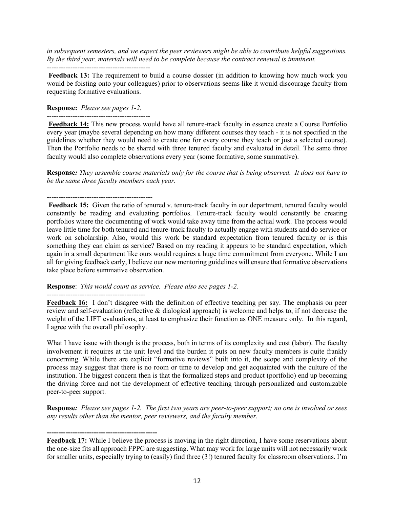*in subsequent semesters, and we expect the peer reviewers might be able to contribute helpful suggestions. By the third year, materials will need to be complete because the contract renewal is imminent. --------------------------------------------*

**Feedback 13:** The requirement to build a course dossier (in addition to knowing how much work you would be foisting onto your colleagues) prior to observations seems like it would discourage faculty from requesting formative evaluations.

## **Response:** *Please see pages 1-2.*

--------------------------------------------

**Feedback 14:** This new process would have all tenure-track faculty in essence create a Course Portfolio every year (maybe several depending on how many different courses they teach - it is not specified in the guidelines whether they would need to create one for every course they teach or just a selected course). Then the Portfolio needs to be shared with three tenured faculty and evaluated in detail. The same three faculty would also complete observations every year (some formative, some summative).

**Response***: They assemble course materials only for the course that is being observed. It does not have to be the same three faculty members each year.* 

# ---------------------------------------------

**-----------------------------------------------**

**Feedback 15:** Given the ratio of tenured v. tenure-track faculty in our department, tenured faculty would constantly be reading and evaluating portfolios. Tenure-track faculty would constantly be creating portfolios where the documenting of work would take away time from the actual work. The process would leave little time for both tenured and tenure-track faculty to actually engage with students and do service or work on scholarship. Also, would this work be standard expectation from tenured faculty or is this something they can claim as service? Based on my reading it appears to be standard expectation, which again in a small department like ours would requires a huge time commitment from everyone. While I am all for giving feedback early, I believe our new mentoring guidelines will ensure that formative observations take place before summative observation.

**Response**: *This would count as service. Please also see pages 1-2.* 

**Feedback 16:** I don't disagree with the definition of effective teaching per say. The emphasis on peer review and self-evaluation (reflective & dialogical approach) is welcome and helps to, if not decrease the weight of the LIFT evaluations, at least to emphasize their function as ONE measure only. In this regard, I agree with the overall philosophy.

What I have issue with though is the process, both in terms of its complexity and cost (labor). The faculty involvement it requires at the unit level and the burden it puts on new faculty members is quite frankly concerning. While there are explicit "formative reviews" built into it, the scope and complexity of the process may suggest that there is no room or time to develop and get acquainted with the culture of the institution. The biggest concern then is that the formalized steps and product (portfolio) end up becoming the driving force and not the development of effective teaching through personalized and customizable peer-to-peer support.

**Response***: Please see pages 1-2. The first two years are peer-to-peer support; no one is involved or sees any results other than the mentor, peer reviewers, and the faculty member.*

**Feedback 17:** While I believe the process is moving in the right direction, I have some reservations about the one-size fits all approach FPPC are suggesting. What may work for large units will not necessarily work for smaller units, especially trying to (easily) find three (3!) tenured faculty for classroom observations. I'm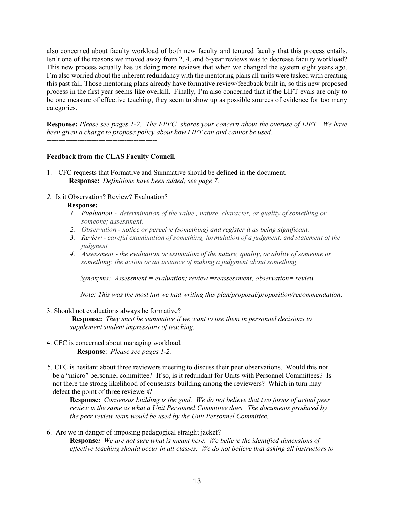also concerned about faculty workload of both new faculty and tenured faculty that this process entails. Isn't one of the reasons we moved away from 2, 4, and 6-year reviews was to decrease faculty workload? This new process actually has us doing more reviews that when we changed the system eight years ago. I'm also worried about the inherent redundancy with the mentoring plans all units were tasked with creating this past fall. Those mentoring plans already have formative review/feedback built in, so this new proposed process in the first year seems like overkill. Finally, I'm also concerned that if the LIFT evals are only to be one measure of effective teaching, they seem to show up as possible sources of evidence for too many categories.

**Response:** *Please see pages 1-2. The FPPC shares your concern about the overuse of LIFT. We have been given a charge to propose policy about how LIFT can and cannot be used.* **-----------------------------------------------**

#### **Feedback from the CLAS Faculty Council.**

- 1. CFC requests that Formative and Summative should be defined in the document.  **Response:** *Definitions have been added; see page 7.*
- *2.* Is it Observation? Review? Evaluation?

#### **Response:**

- *1. Evaluation - determination of the value , nature, character, or quality of something or someone; assessment.*
- *2. Observation - notice or perceive (something) and register it as being significant.*
- *3. Review - careful examination of something, formulation of a judgment, and statement of the judgment*
- *4. Assessment - the evaluation or estimation of the nature, quality, or ability of someone or something; the action or an instance of making a judgment about something*

 *Synonyms: Assessment = evaluation; review =reassessment; observation= review*

 *Note: This was the most fun we had writing this plan/proposal/proposition/recommendation.*

3. Should not evaluations always be formative?

**Response:** *They must be summative if we want to use them in personnel decisions to supplement student impressions of teaching.* 

- 4. CFC is concerned about managing workload. **Response**: *Please see pages 1-2.*
- 5. CFC is hesitant about three reviewers meeting to discuss their peer observations. Would this not be a "micro" personnel committee? If so, is it redundant for Units with Personnel Committees? Is not there the strong likelihood of consensus building among the reviewers? Which in turn may defeat the point of three reviewers?

**Response:** *Consensus building is the goal. We do not believe that two forms of actual peer review is the same as what a Unit Personnel Committee does. The documents produced by the peer review team would be used by the Unit Personnel Committee.*

6. Are we in danger of imposing pedagogical straight jacket? **Response***: We are not sure what is meant here. We believe the identified dimensions of effective teaching should occur in all classes. We do not believe that asking all instructors to*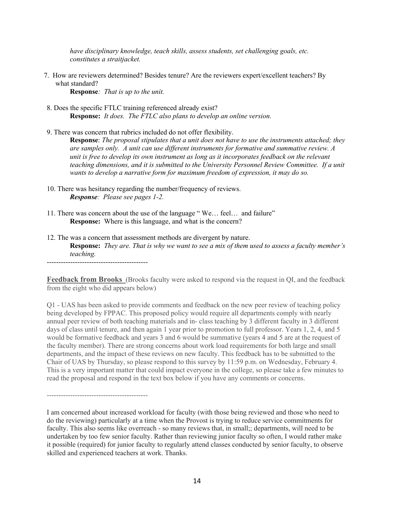*have disciplinary knowledge, teach skills, assess students, set challenging goals, etc. constitutes a straitjacket.* 

7. How are reviewers determined? Besides tenure? Are the reviewers expert/excellent teachers? By what standard?

**Response***: That is up to the unit.* 

-------------------------------------------

- 8. Does the specific FTLC training referenced already exist? **Response:** *It does. The FTLC also plans to develop an online version.*
- 9. There was concern that rubrics included do not offer flexibility. **Response**: *The proposal stipulates that a unit does not have to use the instruments attached; they are samples only. A unit can use different instruments for formative and summative review. A unit is free to develop its own instrument as long as it incorporates feedback on the relevant teaching dimensions, and it is submitted to the University Personnel Review Committee. If a unit wants to develop a narrative form for maximum freedom of expression, it may do so.*
- 10. There was hesitancy regarding the number/frequency of reviews. *Response: Please see pages 1-2.*
- 11. There was concern about the use of the language " We… feel… and failure" **Response:** Where is this language, and what is the concern?
- 12. The was a concern that assessment methods are divergent by nature. **Response:** *They are. That is why we want to see a mix of them used to assess a faculty member's teaching.* -------------------------------------------

**Feedback from Brooks** (Brooks faculty were asked to respond via the request in QI, and the feedback from the eight who did appears below)

Q1 - UAS has been asked to provide comments and feedback on the new peer review of teaching policy being developed by FPPAC. This proposed policy would require all departments comply with nearly annual peer review of both teaching materials and in- class teaching by 3 different faculty in 3 different days of class until tenure, and then again 1 year prior to promotion to full professor. Years 1, 2, 4, and 5 would be formative feedback and years 3 and 6 would be summative (years 4 and 5 are at the request of the faculty member). There are strong concerns about work load requirements for both large and small departments, and the impact of these reviews on new faculty. This feedback has to be submitted to the Chair of UAS by Thursday, so please respond to this survey by 11:59 p.m. on Wednesday, February 4. This is a very important matter that could impact everyone in the college, so please take a few minutes to read the proposal and respond in the text box below if you have any comments or concerns.

I am concerned about increased workload for faculty (with those being reviewed and those who need to do the reviewing) particularly at a time when the Provost is trying to reduce service commitments for faculty. This also seems like overreach - so many reviews that, in small;; departments, will need to be undertaken by too few senior faculty. Rather than reviewing junior faculty so often, I would rather make it possible (required) for junior faculty to regularly attend classes conducted by senior faculty, to observe skilled and experienced teachers at work. Thanks.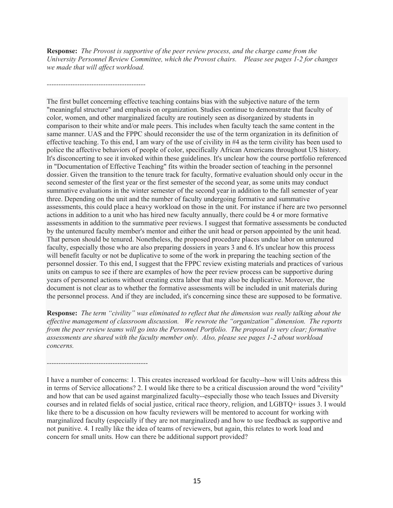**Response:** *The Provost is supportive of the peer review process, and the charge came from the University Personnel Review Committee, which the Provost chairs. Please see pages 1-2 for changes we made that will affect workload.* 

*------------------------------------------*

*-------------------------------------------*

The first bullet concerning effective teaching contains bias with the subjective nature of the term "meaningful structure" and emphasis on organization. Studies continue to demonstrate that faculty of color, women, and other marginalized faculty are routinely seen as disorganized by students in comparison to their white and/or male peers. This includes when faculty teach the same content in the same manner. UAS and the FPPC should reconsider the use of the term organization in its definition of effective teaching. To this end, I am wary of the use of civility in #4 as the term civility has been used to police the affective behaviors of people of color, specifically African Americans throughout US history. It's disconcerting to see it invoked within these guidelines. It's unclear how the course portfolio referenced in "Documentation of Effective Teaching" fits within the broader section of teaching in the personnel dossier. Given the transition to the tenure track for faculty, formative evaluation should only occur in the second semester of the first year or the first semester of the second year, as some units may conduct summative evaluations in the winter semester of the second year in addition to the fall semester of year three. Depending on the unit and the number of faculty undergoing formative and summative assessments, this could place a heavy workload on those in the unit. For instance if here are two personnel actions in addition to a unit who has hired new faculty annually, there could be 4 or more formative assessments in addition to the summative peer reviews. I suggest that formative assessments be conducted by the untenured faculty member's mentor and either the unit head or person appointed by the unit head. That person should be tenured. Nonetheless, the proposed procedure places undue labor on untenured faculty, especially those who are also preparing dossiers in years 3 and 6. It's unclear how this process will benefit faculty or not be duplicative to some of the work in preparing the teaching section of the personnel dossier. To this end, I suggest that the FPPC review existing materials and practices of various units on campus to see if there are examples of how the peer review process can be supportive during years of personnel actions without creating extra labor that may also be duplicative. Moreover, the document is not clear as to whether the formative assessments will be included in unit materials during the personnel process. And if they are included, it's concerning since these are supposed to be formative.

**Response:** *The term "civility" was eliminated to reflect that the dimension was really talking about the effective management of classroom discussion. We rewrote the "organization" dimension. The reports from the peer review teams will go into the Personnel Portfolio. The proposal is very clear; formative assessments are shared with the faculty member only. Also, please see pages 1-2 about workload concerns.*

I have a number of concerns: 1. This creates increased workload for faculty--how will Units address this in terms of Service allocations? 2. I would like there to be a critical discussion around the word "civility" and how that can be used against marginalized faculty--especially those who teach Issues and Diversity courses and in related fields of social justice, critical race theory, religion, and LGBTQ+ issues 3. I would like there to be a discussion on how faculty reviewers will be mentored to account for working with marginalized faculty (especially if they are not marginalized) and how to use feedback as supportive and not punitive. 4. I really like the idea of teams of reviewers, but again, this relates to work load and concern for small units. How can there be additional support provided?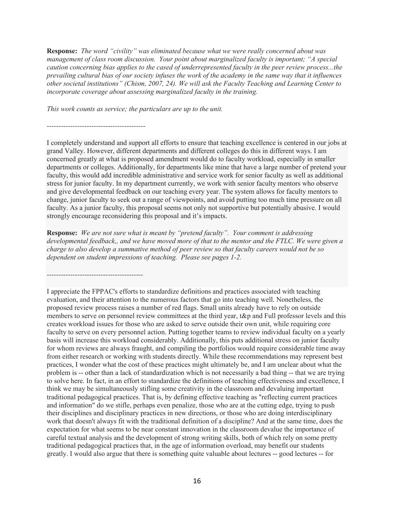**Response:** *The word "civility" was eliminated because what we were really concerned about was management of class room discussion. Your point about marginalized faculty is important; "A special caution concerning bias applies to the cased of underrepresented faculty in the peer review process...the prevailing cultural bias of our society infuses the work of the academy in the same way that it influences other societal institutions" (Chism, 2007, 24). We will ask the Faculty Teaching and Learning Center to incorporate coverage about assessing marginalized faculty in the training.* 

*This work counts as service; the particulars are up to the unit.*

*------------------------------------------*

*-----------------------------------------*

I completely understand and support all efforts to ensure that teaching excellence is centered in our jobs at grand Valley. However, different departments and different colleges do this in different ways. I am concerned greatly at what is proposed amendment would do to faculty workload, especially in smaller departments or colleges. Additionally, for departments like mine that have a large number of pretend your faculty, this would add incredible administrative and service work for senior faculty as well as additional stress for junior faculty. In my department currently, we work with senior faculty mentors who observe and give developmental feedback on our teaching every year. The system allows for faculty mentors to change, junior faculty to seek out a range of viewpoints, and avoid putting too much time pressure on all faculty. As a junior faculty, this proposal seems not only not supportive but potentially abusive. I would strongly encourage reconsidering this proposal and it's impacts.

**Response:** *We are not sure what is meant by "pretend faculty". Your comment is addressing developmental feedback,, and we have moved more of that to the mentor and the FTLC. We were given a charge to also develop a summative method of peer review so that faculty careers would not be so dependent on student impressions of teaching. Please see pages 1-2.* 

I appreciate the FPPAC's efforts to standardize definitions and practices associated with teaching evaluation, and their attention to the numerous factors that go into teaching well. Nonetheless, the proposed review process raises a number of red flags. Small units already have to rely on outside members to serve on personnel review committees at the third year, t&p and Full professor levels and this creates workload issues for those who are asked to serve outside their own unit, while requiring core faculty to serve on every personnel action. Putting together teams to review individual faculty on a yearly basis will increase this workload considerably. Additionally, this puts additional stress on junior faculty for whom reviews are always fraught, and compiling the portfolios would require considerable time away from either research or working with students directly. While these recommendations may represent best practices, I wonder what the cost of these practices might ultimately be, and I am unclear about what the problem is -- other than a lack of standardization which is not necessarily a bad thing -- that we are trying to solve here. In fact, in an effort to standardize the definitions of teaching effectiveness and excellence, I think we may be simultaneously stifling some creativity in the classroom and devaluing important traditional pedagogical practices. That is, by defining effective teaching as "reflecting current practices and information" do we stifle, perhaps even penalize, those who are at the cutting edge, trying to push their disciplines and disciplinary practices in new directions, or those who are doing interdisciplinary work that doesn't always fit with the traditional definition of a discipline? And at the same time, does the expectation for what seems to be near constant innovation in the classroom devalue the importance of careful textual analysis and the development of strong writing skills, both of which rely on some pretty traditional pedagogical practices that, in the age of information overload, may benefit our students greatly. I would also argue that there is something quite valuable about lectures -- good lectures -- for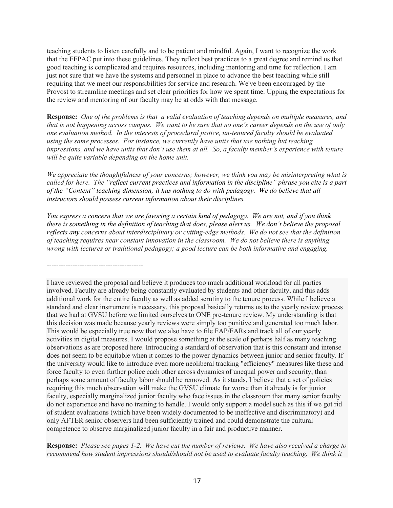teaching students to listen carefully and to be patient and mindful. Again, I want to recognize the work that the FFPAC put into these guidelines. They reflect best practices to a great degree and remind us that good teaching is complicated and requires resources, including mentoring and time for reflection. I am just not sure that we have the systems and personnel in place to advance the best teaching while still requiring that we meet our responsibilities for service and research. We've been encouraged by the Provost to streamline meetings and set clear priorities for how we spent time. Upping the expectations for the review and mentoring of our faculty may be at odds with that message.

**Response:** *One of the problems is that a valid evaluation of teaching depends on multiple measures, and that is not happening across campus. We want to be sure that no one's career depends on the use of only one evaluation method. In the interests of procedural justice, un-tenured faculty should be evaluated using the same processes. For instance, we currently have units that use nothing but teaching impressions, and we have units that don't use them at all. So, a faculty member's experience with tenure will be quite variable depending on the home unit.*

*We appreciate the thoughtfulness of your concerns; however, we think you may be misinterpreting what is called for here. The "reflect current practices and information in the discipline" phrase you cite is a part of the "Content" teaching dimension; it has nothing to do with pedagogy. We do believe that all instructors should possess current information about their disciplines.*

*You express a concern that we are favoring a certain kind of pedagogy. We are not, and if you think there is something in the definition of teaching that does, please alert us. We don't believe the proposal reflects any concerns about interdisciplinary or cutting-edge methods. We do not see that the definition of teaching requires near constant innovation in the classroom. We do not believe there is anything wrong with lectures or traditional pedagogy; a good lecture can be both informative and engaging.*

-----------------------------------------

I have reviewed the proposal and believe it produces too much additional workload for all parties involved. Faculty are already being constantly evaluated by students and other faculty, and this adds additional work for the entire faculty as well as added scrutiny to the tenure process. While I believe a standard and clear instrument is necessary, this proposal basically returns us to the yearly review process that we had at GVSU before we limited ourselves to ONE pre-tenure review. My understanding is that this decision was made because yearly reviews were simply too punitive and generated too much labor. This would be especially true now that we also have to file FAP/FARs and track all of our yearly activities in digital measures. I would propose something at the scale of perhaps half as many teaching observations as are proposed here. Introducing a standard of observation that is this constant and intense does not seem to be equitable when it comes to the power dynamics between junior and senior faculty. If the university would like to introduce even more neoliberal tracking "efficiency" measures like these and force faculty to even further police each other across dynamics of unequal power and security, than perhaps some amount of faculty labor should be removed. As it stands, I believe that a set of policies requiring this much observation will make the GVSU climate far worse than it already is for junior faculty, especially marginalized junior faculty who face issues in the classroom that many senior faculty do not experience and have no training to handle. I would only support a model such as this if we got rid of student evaluations (which have been widely documented to be ineffective and discriminatory) and only AFTER senior observers had been sufficiently trained and could demonstrate the cultural competence to observe marginalized junior faculty in a fair and productive manner.

**Response:** *Please see pages 1-2. We have cut the number of reviews. We have also received a charge to recommend how student impressions should/should not be used to evaluate faculty teaching. We think it*